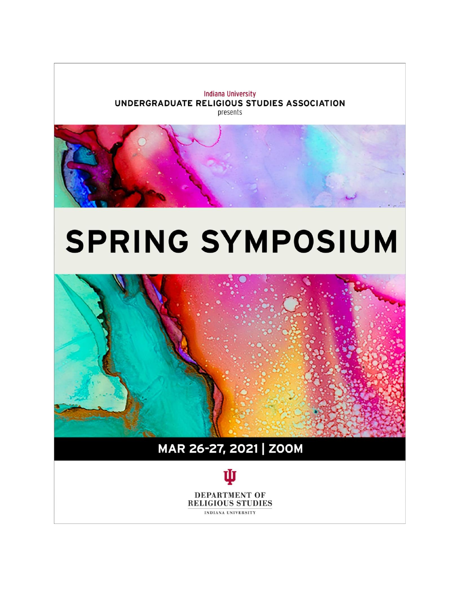



# **SPRING SYMPOSIUM**



# MAR 26-27, 2021 | ZOOM

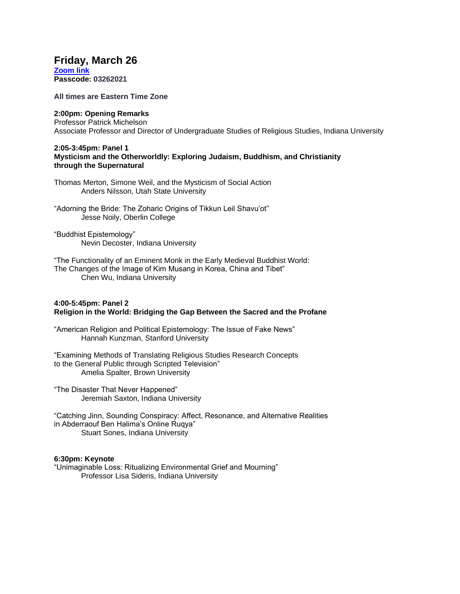## **Friday, March 26**

**[Zoom link](https://iu.zoom.us/j/88565227812?pwd=c08xWWh5WmRSaGFjQmVoTjVGVjdFUT09) Passcode: 03262021**

**All times are Eastern Time Zone**

#### **2:00pm: Opening Remarks**

Professor Patrick Michelson Associate Professor and Director of Undergraduate Studies of Religious Studies, Indiana University

#### **2:05-3:45pm: Panel 1 Mysticism and the Otherworldly: Exploring Judaism, Buddhism, and Christianity through the Supernatural**

Thomas Merton, Simone Weil, and the Mysticism of Social Action Anders Nilsson, Utah State University

"Adorning the Bride: The Zoharic Origins of Tikkun Leil Shavu'ot" Jesse Noily, Oberlin College

"Buddhist Epistemology" Nevin Decoster, Indiana University

"The Functionality of an Eminent Monk in the Early Medieval Buddhist World: The Changes of the Image of Kim Musang in Korea, China and Tibet" Chen Wu, Indiana University

#### **4:00-5:45pm: Panel 2 Religion in the World: Bridging the Gap Between the Sacred and the Profane**

"American Religion and Political Epistemology: The Issue of Fake News" Hannah Kunzman, Stanford University

"Examining Methods of Translating Religious Studies Research Concepts to the General Public through Scripted Television" Amelia Spalter, Brown University

"The Disaster That Never Happened" Jeremiah Saxton, Indiana University

"Catching Jinn, Sounding Conspiracy: Affect, Resonance, and Alternative Realities in Abderraouf Ben Halima's Online Ruqya" Stuart Sones, Indiana University

#### **6:30pm: Keynote**

"Unimaginable Loss: Ritualizing Environmental Grief and Mourning" Professor Lisa Sideris, Indiana University